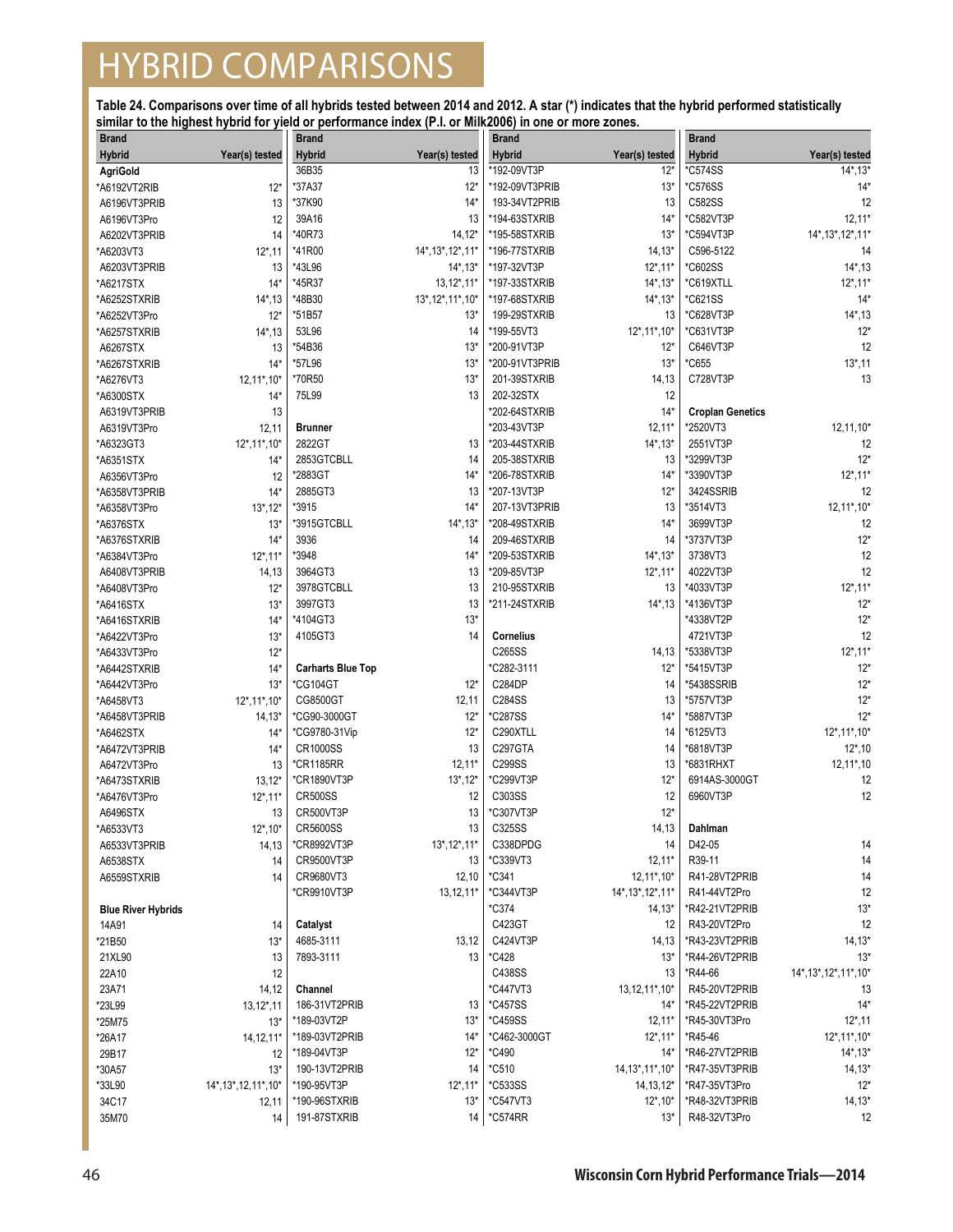| <b>Brand</b>              |                        | Brand                    |                                   | <b>Brand</b>          |                          | <b>Brand</b>            |                            |
|---------------------------|------------------------|--------------------------|-----------------------------------|-----------------------|--------------------------|-------------------------|----------------------------|
| <b>Hybrid</b>             | Year(s) tested         | Hybrid                   | Year(s) tested                    | <b>Hybrid</b>         | Year(s) tested           | <b>Hybrid</b>           | Year(s) tested             |
| <b>AgriGold</b>           |                        | 36B35                    | 13                                | *192-09VT3P           | $12*$                    | *C574SS                 | $14^*$ , 13 $*$            |
| *A6192VT2RIB              | $12*$                  | *37A37                   | $12*$                             | *192-09VT3PRIB        | $13*$                    | <i><b>*C576SS</b></i>   | $14*$                      |
| A6196VT3PRIB              | 13                     | *37K90                   | $14*$                             | 193-34VT2PRIB         | 13                       | C582SS                  | 12                         |
| A6196VT3Pro               | 12                     | 39A16                    | 13                                | *194-63STXRIB         | $14*$                    | *C582VT3P               | $12,11*$                   |
| A6202VT3PRIB              | 14                     | *40R73                   | $14, 12*$                         | *195-58STXRIB         | $13*$                    | *C594VT3P               | 14*, 13*, 12*, 11*         |
| *A6203VT3                 | $12^*$ , 11            | *41R00                   | 14*, 13*, 12*, 11*                | *196-77STXRIB         | $14,13*$                 | C596-5122               | 14                         |
| A6203VT3PRIB              | 13                     | *43L96                   | $14^*$ , 13 $*$                   | *197-32VT3P           | $12^*$ , 11*             | *C602SS                 | $14^*$ , 13                |
| *A6217STX                 | $14*$                  | *45R37                   | $13,12^*,11^*$                    | *197-33STXRIB         | $14^*$ , $13^*$          | *C619XTLL               | $12^*$ , 11*               |
| *A6252STXRIB              | $14^*$ , 13            | *48B30                   | $13^*$ , $12^*$ , $11^*$ , $10^*$ | *197-68STXRIB         | $14^*$ , $13^*$          | *C621SS                 | $14*$                      |
| *A6252VT3Pro              | $12*$                  | *51B57                   | $13*$                             | 199-29STXRIB          | 13                       | *C628VT3P               | $14^*$ , 13                |
| *A6257STXRIB              | $14^*$ , 13            | 53L96                    | 14                                | *199-55VT3            | $12^*$ , 11 $*$ , 10 $*$ | *C631VT3P               | $12*$                      |
| A6267STX                  | 13                     | *54B36                   | $13*$                             | *200-91VT3P           | $12*$                    | C646VT3P                | 12                         |
| *A6267STXRIB              | $14*$                  | *57L96                   | $13*$                             | *200-91VT3PRIB        | $13*$                    | *C655                   | $13^*$ , 11                |
| *A6276VT3                 | 12,11*,10*             | *70R50                   | $13*$                             | 201-39STXRIB          | 14,13                    | C728VT3P                | 13                         |
| *A6300STX                 | $14*$                  | 75L99                    | 13                                | 202-32STX             | 12                       |                         |                            |
| A6319VT3PRIB              |                        |                          |                                   | *202-64STXRIB         | $14*$                    | <b>Croplan Genetics</b> |                            |
|                           | 13                     |                          |                                   | *203-43VT3P           |                          |                         |                            |
| A6319VT3Pro               | 12,11                  | Brunner<br>2822GT        |                                   |                       | $12,11*$                 | *2520VT3                | 12,11,10*                  |
| *A6323GT3                 | 12*, 11*, 10*          |                          | 13                                | *203-44STXRIB         | $14^*$ , $13^*$          | 2551VT3P                | 12                         |
| *A6351STX                 | $14*$                  | 2853GTCBLL               | 14                                | 205-38STXRIB          | 13                       | *3299VT3P               | $12*$                      |
| A6356VT3Pro               | 12                     | *2883GT                  | $14*$                             | *206-78STXRIB         | $14*$                    | *3390VT3P               | $12^*$ , 11*               |
| *A6358VT3PRIB             | $14*$                  | 2885GT3                  | 13                                | *207-13VT3P           | $12*$                    | 3424SSRIB               | 12                         |
| *A6358VT3Pro              | $13^*$ , $12^*$        | *3915                    | $14*$                             | 207-13VT3PRIB         | 13                       | *3514VT3                | $12,11^*$ , 10*            |
| *A6376STX                 | $13*$                  | *3915GTCBLL              | $14^*$ , 13 $*$                   | *208-49STXRIB         | $14*$                    | 3699VT3P                | 12                         |
| *A6376STXRIB              | $14*$                  | 3936                     | 14                                | 209-46STXRIB          | 14                       | *3737VT3P               | $12*$                      |
| *A6384VT3Pro              | $12^*$ , 11*           | *3948                    | $14*$                             | *209-53STXRIB         | $14^*$ , $13^*$          | 3738VT3                 | 12                         |
| A6408VT3PRIB              | 14,13                  | 3964GT3                  | 13                                | *209-85VT3P           | $12^*$ , 11*             | 4022VT3P                | 12                         |
| *A6408VT3Pro              | $12*$                  | 3978GTCBLL               | 13                                | 210-95STXRIB          | 13                       | *4033VT3P               | $12^*$ , 11*               |
| *A6416STX                 | $13*$                  | 3997GT3                  | 13                                | *211-24STXRIB         | $14^*$ , 13              | *4136VT3P               | $12*$                      |
| *A6416STXRIB              | $14*$                  | *4104GT3                 | $13*$                             |                       |                          | *4338VT2P               | $12*$                      |
| *A6422VT3Pro              | $13*$                  | 4105GT3                  | 14                                | <b>Cornelius</b>      |                          | 4721VT3P                | 12                         |
| *A6433VT3Pro              | $12*$                  |                          |                                   | C265SS                | 14,13                    | *5338VT3P               | $12^*$ , 11*               |
| *A6442STXRIB              | $14*$                  | <b>Carharts Blue Top</b> |                                   | C282-3111*            | $12*$                    | *5415VT3P               | $12*$                      |
| *A6442VT3Pro              | $13*$                  | *CG104GT                 | $12*$                             | C284DP                | 14                       | *5438SSRIB              | $12*$                      |
| *A6458VT3                 | 12*, 11*, 10*          | CG8500GT                 | 12,11                             | C284SS                | 13                       | *5757VT3P               | $12*$                      |
| *A6458VT3PRIB             | $14,13*$               | *CG90-3000GT             | $12*$                             | *C287SS               | $14*$                    | *5887VT3P               | $12*$                      |
| *A6462STX                 | $14*$                  | *CG9780-31Vip            | $12*$                             | C290XTLL              | 14                       | *6125VT3                | $12^*$ , 11 $^*$ , 10 $^*$ |
| *A6472VT3PRIB             | $14*$                  | <b>CR1000SS</b>          | 13                                | C297GTA               | 14                       | *6818VT3P               | $12^*$ , 10                |
| A6472VT3Pro               | 13                     | *CR1185RR                | $12,11*$                          | C299SS                | 13                       | *6831RHXT               | $12, 11^*$ , 10            |
| *A6473STXRIB              | $13,12*$               | *CR1890VT3P              | $13^*$ , $12^*$                   | *C299VT3P             | $12*$                    | 6914AS-3000GT           | 12                         |
|                           |                        | <b>CR500SS</b>           | 12                                | C303SS                | 12                       | 6960VT3P                | 12                         |
| *A6476VT3Pro              | $12^*$ , 11*           | CR500VT3P                |                                   | *C307VT3P             | $12*$                    |                         |                            |
| A6496STX                  | 13                     | <b>CR5600SS</b>          | 13<br>13                          | C325SS                |                          | Dahlman                 |                            |
| *A6533VT3                 | $12^*$ , $10^*$        |                          |                                   |                       | 14, 13                   |                         |                            |
| A6533VT3PRIB              | 14,13                  | *CR8992VT3P              | $13^*$ , $12^*$ , $11^*$          | C338DPDG              | 14                       | D42-05                  | 14                         |
| A6538STX                  | 14                     | CR9500VT3P               | 13                                | *C339VT3              | $12,11*$                 | R39-11                  | 14                         |
| A6559STXRIB               | 14                     | CR9680VT3                | 12,10                             | *C341                 | $12,11^*$ , 10*          | R41-28VT2PRIB           | 14                         |
|                           |                        | *CR9910VT3P              | $13,12,11*$                       | *C344VT3P             | 14*, 13*, 12*, 11*       | R41-44VT2Pro            | 12                         |
| <b>Blue River Hybrids</b> |                        |                          |                                   | *C374                 | $14,13*$                 | *R42-21VT2PRIB          | $13*$                      |
| 14A91                     | 14                     | Catalyst                 |                                   | C423GT                | 12                       | R43-20VT2Pro            | 12                         |
| *21B50                    | $13*$                  | 4685-3111                | 13,12                             | C424VT3P              | 14,13                    | *R43-23VT2PRIB          | $14,13*$                   |
| 21XL90                    | 13                     | 7893-3111                | 13                                | *C428                 | $13*$                    | *R44-26VT2PRIB          | $13*$                      |
| 22A10                     | 12                     |                          |                                   | C438SS                | 13                       | *R44-66                 | 14*, 13*, 12*, 11*, 10*    |
| 23A71                     | 14,12                  | Channel                  |                                   | *C447VT3              | 13, 12, 11*, 10*         | R45-20VT2PRIB           | 13                         |
| *23L99                    | $13, 12^*, 11$         | 186-31VT2PRIB            | 13                                | <i><b>*C457SS</b></i> | 14*                      | *R45-22VT2PRIB          | $14*$                      |
| *25M75                    | $13*$                  | *189-03VT2P              | $13*$                             | *C459SS               | $12,11*$                 | *R45-30VT3Pro           | $12^*$ , 11                |
| *26A17                    | 14, 12, 11*            | *189-03VT2PRIB           | $14*$                             | *C462-3000GT          | $12^*$ , 11 $*$          | *R45-46                 | $12^*$ , 11 $*$ , 10 $*$   |
| 29B17                     | 12                     | *189-04VT3P              | $12*$                             | *C490                 | $14*$                    | *R46-27VT2PRIB          | $14^*$ , 13 $*$            |
| *30A57                    | $13*$                  | 190-13VT2PRIB            | 14                                | *C510                 | 14, 13*, 11*, 10*        | *R47-35VT3PRIB          | $14,13*$                   |
| *33L90                    | 14*, 13*, 12, 11*, 10* | *190-95VT3P              | $12^*$ , 11*                      | *C533SS               | $14, 13, 12*$            | *R47-35VT3Pro           | $12*$                      |
| 34C17                     | 12,11                  | *190-96STXRIB            | $13*$                             | <i>*C547VT3</i>       | $12^*$ , 10*             | *R48-32VT3PRIB          | $14,13*$                   |
| 35M70                     | 14                     | 191-87STXRIB             | 14                                | <i><b>*C574RR</b></i> | $13*$                    | R48-32VT3Pro            | 12                         |
|                           |                        |                          |                                   |                       |                          |                         |                            |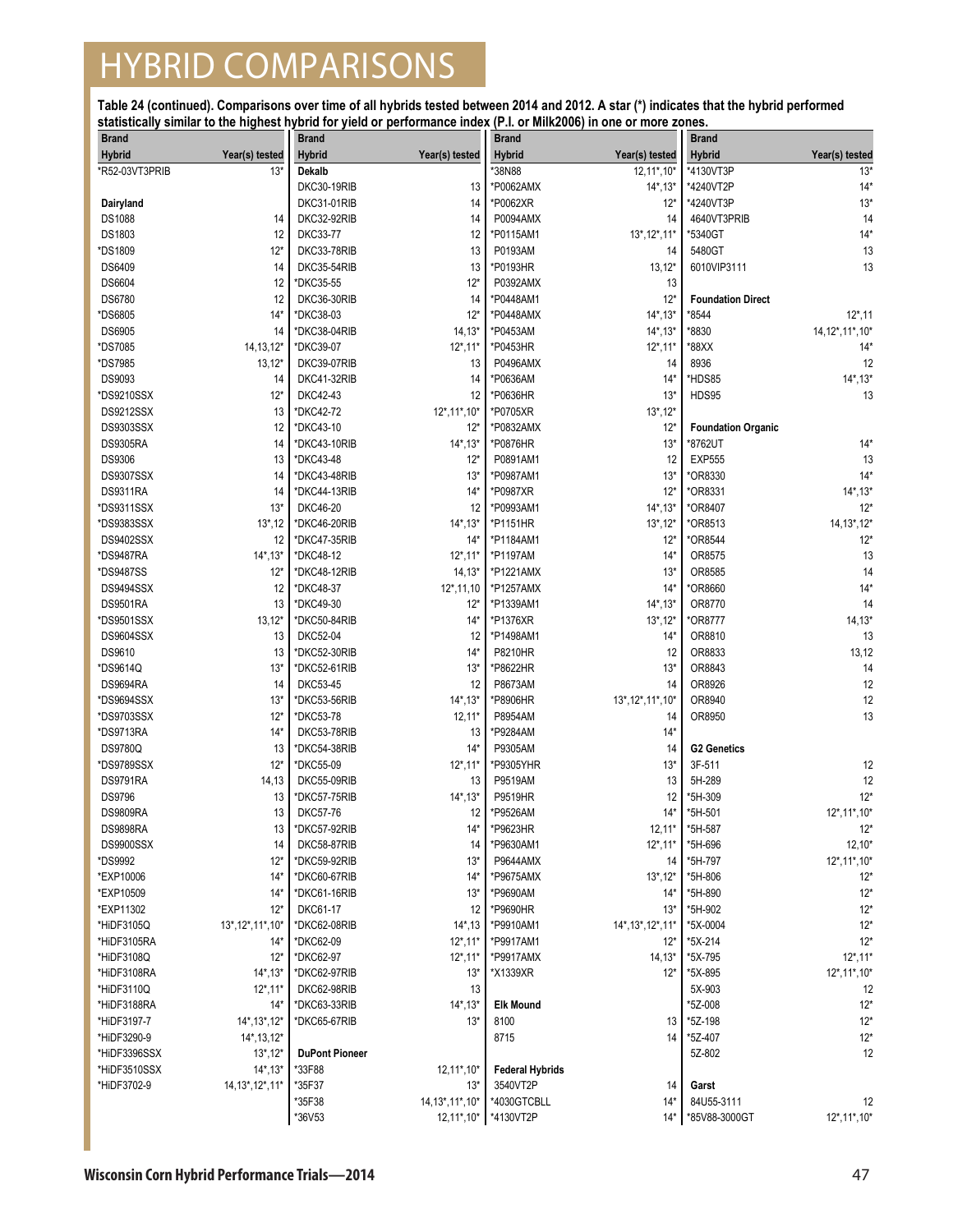| <b>Brand</b>     |                                   | <b>Brand</b>          |                             | <b>Brand</b>             |                    | <b>Brand</b>                |                            |
|------------------|-----------------------------------|-----------------------|-----------------------------|--------------------------|--------------------|-----------------------------|----------------------------|
| <b>Hybrid</b>    | Year(s) tested                    | <b>Hybrid</b>         | Year(s) tested              | <b>Hybrid</b>            | Year(s) tested     | <b>Hybrid</b>               | Year(s) tested             |
| *R52-03VT3PRIB   | $13*$                             | Dekalb                |                             | *38N88                   | 12,11*,10*         | *4130VT3P                   | $13*$                      |
|                  |                                   | DKC30-19RIB           | 13                          | *P0062AMX                | $14^*$ , $13^*$    | *4240VT2P                   | $14*$                      |
| Dairyland        |                                   | DKC31-01RIB           | 14                          | *P0062XR                 | $12*$              | *4240VT3P                   | $13*$                      |
| <b>DS1088</b>    | 14                                | DKC32-92RIB           | 14                          | P0094AMX                 | 14                 | 4640VT3PRIB                 | 14                         |
| DS1803           | 12                                | <b>DKC33-77</b>       | 12                          | *P0115AM1                | 13*, 12*, 11*      | *5340GT                     | $14*$                      |
| *DS1809          | $12*$                             | DKC33-78RIB           | 13                          | P0193AM                  | 14                 | 5480GT                      | 13                         |
| DS6409           | 14                                | DKC35-54RIB           | 13                          | *P0193HR                 | 13,12"             | 6010VIP3111                 | 13                         |
| DS6604           | 12                                | *DKC35-55             | $12*$                       | <b>P0392AMX</b>          | 13                 |                             |                            |
| DS6780           | 12                                | DKC36-30RIB           | 14                          | *P0448AM1                | $12*$              | <b>Foundation Direct</b>    |                            |
| *DS6805          | $14*$                             | *DKC38-03             | $12*$                       | *P0448AMX                | $14^*$ , 13 $*$    | *8544                       | $12^*$ , 11                |
|                  |                                   |                       |                             | *P0453AM                 |                    | *8830                       |                            |
| <b>DS6905</b>    | 14                                | *DKC38-04RIB          | $14, 13*$                   |                          | $14^*$ , $13^*$    |                             | 14, 12*, 11*, 10*          |
| *DS7085          | 14, 13, 12*                       | *DKC39-07             | $12^*$ , 11*                | *P0453HR                 | $12^*$ , 11*       | *88XX                       | $14*$                      |
| *DS7985          | $13,12*$                          | DKC39-07RIB           | 13                          | <b>P0496AMX</b>          | 14                 | 8936                        | 12                         |
| DS9093           | 14                                | DKC41-32RIB           | 14                          | *P0636AM                 | $14*$              | *HDS85                      | $14^*$ , $13^*$            |
| *DS9210SSX       | $12*$                             | DKC42-43              | 12                          | *P0636HR                 | $13*$              | <b>HDS95</b>                | 13                         |
| <b>DS9212SSX</b> | 13                                | *DKC42-72             | $12^*$ , 11 $*$ , 10 $*$    | *P0705XR                 | $13^*$ , $12^*$    |                             |                            |
| DS9303SSX        | 12                                | *DKC43-10             | $12*$                       | *P0832AMX                | $12*$              | <b>Foundation Organic</b>   |                            |
| <b>DS9305RA</b>  | 14                                | *DKC43-10RIB          | $14^*$ , 13 $*$             | *P0876HR                 | $13*$              | *8762UT                     | $14*$                      |
| <b>DS9306</b>    | 13                                | *DKC43-48             | $12*$                       | P0891AM1                 | 12                 | <b>EXP555</b>               | 13                         |
| <b>DS9307SSX</b> | 14                                | *DKC43-48RIB          | $13*$                       | *P0987AM1                | $13*$              | *OR8330                     | $14*$                      |
| <b>DS9311RA</b>  | 14                                | *DKC44-13RIB          | $14*$                       | *P0987XR                 | $12*$              | *OR8331                     | $14^*$ , $13^*$            |
| *DS9311SSX       | $13*$                             | <b>DKC46-20</b>       | 12                          | *P0993AM1                | $14^*$ , 13 $*$    | *OR8407                     | $12*$                      |
| *DS9383SSX       | $13^*$ , 12                       | *DKC46-20RIB          | $14^*$ , 13 $*$             | *P1151HR                 | $13^*$ , $12^*$    | *OR8513                     | $14, 13^*$ , 12*           |
| <b>DS9402SSX</b> | 12                                | *DKC47-35RIB          | $14*$                       | *P1184AM1                | $12*$              | *OR8544                     | $12*$                      |
| *DS9487RA        | $14^*$ , $13^*$                   | *DKC48-12             | $12^*$ , 11*                | *P1197AM                 | $14*$              | OR8575                      | 13                         |
| *DS9487SS        | $12*$                             | *DKC48-12RIB          | $14, 13*$                   | *P1221AMX                | $13*$              | OR8585                      | 14                         |
| DS9494SSX        | 12                                | *DKC48-37             | $12^*$ , 11, 10             | *P1257AMX                | $14*$              | *OR8660                     | $14*$                      |
| <b>DS9501RA</b>  | 13                                | *DKC49-30             | $12*$                       | *P1339AM1                | $14^*$ , 13 $*$    | OR8770                      | 14                         |
| *DS9501SSX       | $13,12*$                          | *DKC50-84RIB          | $14*$                       | *P1376XR                 | $13^*$ , $12^*$    | *OR8777                     | $14, 13*$                  |
| DS9604SSX        | 13                                | <b>DKC52-04</b>       | 12                          | *P1498AM1                | $14*$              | OR8810                      | 13                         |
| DS9610           | 13                                | *DKC52-30RIB          | $14*$                       | <b>P8210HR</b>           | 12                 | OR8833                      | 13,12                      |
|                  |                                   |                       |                             |                          |                    |                             |                            |
| *DS9614Q         | $13*$                             | *DKC52-61RIB          | $13*$                       | *P8622HR                 | $13*$              | OR8843                      | 14                         |
| DS9694RA         | 14                                | <b>DKC53-45</b>       | 12                          | P8673AM                  | 14                 | OR8926                      | 12                         |
| *DS9694SSX       | $13*$                             | *DKC53-56RIB          | $14^*$ , 13 $*$             | *P8906HR                 | 13*, 12*, 11*, 10* | OR8940                      | 12                         |
| *DS9703SSX       | $12*$                             | *DKC53-78             | $12,11*$                    | P8954AM                  | 14                 | OR8950                      | 13                         |
| *DS9713RA        | $14*$                             | DKC53-78RIB           | 13                          | *P9284AM                 | $14*$              |                             |                            |
| <b>DS9780Q</b>   | 13                                | *DKC54-38RIB          | $14*$                       | P9305AM                  | 14                 | <b>G2 Genetics</b>          |                            |
| *DS9789SSX       | $12*$                             | *DKC55-09             | $12^*$ , 11*                | *P9305YHR                | $13*$              | 3F-511                      | 12                         |
| <b>DS9791RA</b>  | 14,13                             | DKC55-09RIB           | 13                          | P9519AM                  | 13                 | 5H-289                      | 12                         |
| <b>DS9796</b>    | 13                                | *DKC57-75RIB          | $14^*$ , 13 $*$             | <b>P9519HR</b>           | 12                 | *5H-309                     | $12*$                      |
| <b>DS9809RA</b>  | 13                                | <b>DKC57-76</b>       | 12                          | *P9526AM                 | $14*$              | *5H-501                     | $12^*$ , 11 $*$ , 10 $*$   |
| <b>DS9898RA</b>  | 13                                | *DKC57-92RIB          | $14*$                       | *P9623HR                 | $12,11*$           | *5H-587                     | $12*$                      |
| DS9900SSX        | 14                                | DKC58-87RIB           | 14                          | *P9630AM1                | $12^*$ , 11*       | *5H-696                     | $12,10*$                   |
| *DS9992          | $12*$                             | *DKC59-92RIB          | $13*$                       | <b>P9644AMX</b>          | 14                 | *5H-797                     | $12^*$ , 11 $^*$ , 10 $^*$ |
| *EXP10006        | $14*$                             | *DKC60-67RIB          | $14*$                       | *P9675AMX                | $13^*$ , $12^*$    | *5H-806                     | $12*$                      |
| *EXP10509        | $14*$                             | *DKC61-16RIB          | $13*$                       | *P9690AM                 | $14*$              | *5H-890                     | $12*$                      |
| *EXP11302        | $12*$                             | DKC61-17              | 12                          | *P9690HR                 | $13*$              | *5H-902                     | $12*$                      |
| *HiDF3105Q       | $13^*$ , $12^*$ , $11^*$ , $10^*$ | *DKC62-08RIB          | $14^*$ , 13                 | *P9910AM1                | 14*, 13*, 12*, 11* | *5X-0004                    | $12*$                      |
| *HiDF3105RA      | $14*$                             | *DKC62-09             | $12^*$ , 11*                | *P9917AM1                | $12*$              | *5X-214                     | $12*$                      |
| *HiDF3108Q       | $12*$                             | *DKC62-97             | $12^*$ , 11 $*$             | *P9917AMX                | $14,13*$           | *5X-795                     | $12^*$ , 11*               |
| *HiDF3108RA      | $14^*$ , 13*                      | *DKC62-97RIB          | $13*$                       | *X1339XR                 | $12*$              | *5X-895                     | $12^*$ , 11 $*$ , 10 $*$   |
| *HiDF3110Q       | $12^*$ , 11*                      | DKC62-98RIB           | 13                          |                          |                    | 5X-903                      | 12                         |
| *HiDF3188RA      | $14*$                             | *DKC63-33RIB          | $14^*$ , 13*                | <b>Elk Mound</b>         |                    | *5Z-008                     | $12*$                      |
| *HiDF3197-7      | 14*, 13*, 12*                     | *DKC65-67RIB          | $13*$                       | 8100                     | 13                 | *5Z-198                     | $12*$                      |
| *HiDF3290-9      | $14^*$ , 13, 12 $*$               |                       |                             | 8715                     | 14                 | *5Z-407                     | $12*$                      |
| *HiDF3396SSX     | $13^*$ , $12^*$                   | <b>DuPont Pioneer</b> |                             |                          |                    | 5Z-802                      | 12                         |
| *HiDF3510SSX     | $14^*$ , 13*                      | *33F88                | $12,11^*$ , 10 <sup>*</sup> | <b>Federal Hybrids</b>   |                    |                             |                            |
| *HiDF3702-9      | 14, 13*, 12*, 11*                 | *35F37                | $13*$                       | 3540VT2P                 | 14                 | Garst                       |                            |
|                  |                                   |                       |                             |                          |                    |                             |                            |
|                  |                                   | *35F38                | 14, 13*, 11*, 10*           | *4030GTCBLL<br>*4130VT2P | $14*$<br>$14*$     | 84U55-3111<br>*85V88-3000GT | 12                         |
|                  |                                   | *36V53                | $12,11^*$ , 10*             |                          |                    |                             | $12^*$ , 11 $^*$ , 10 $^*$ |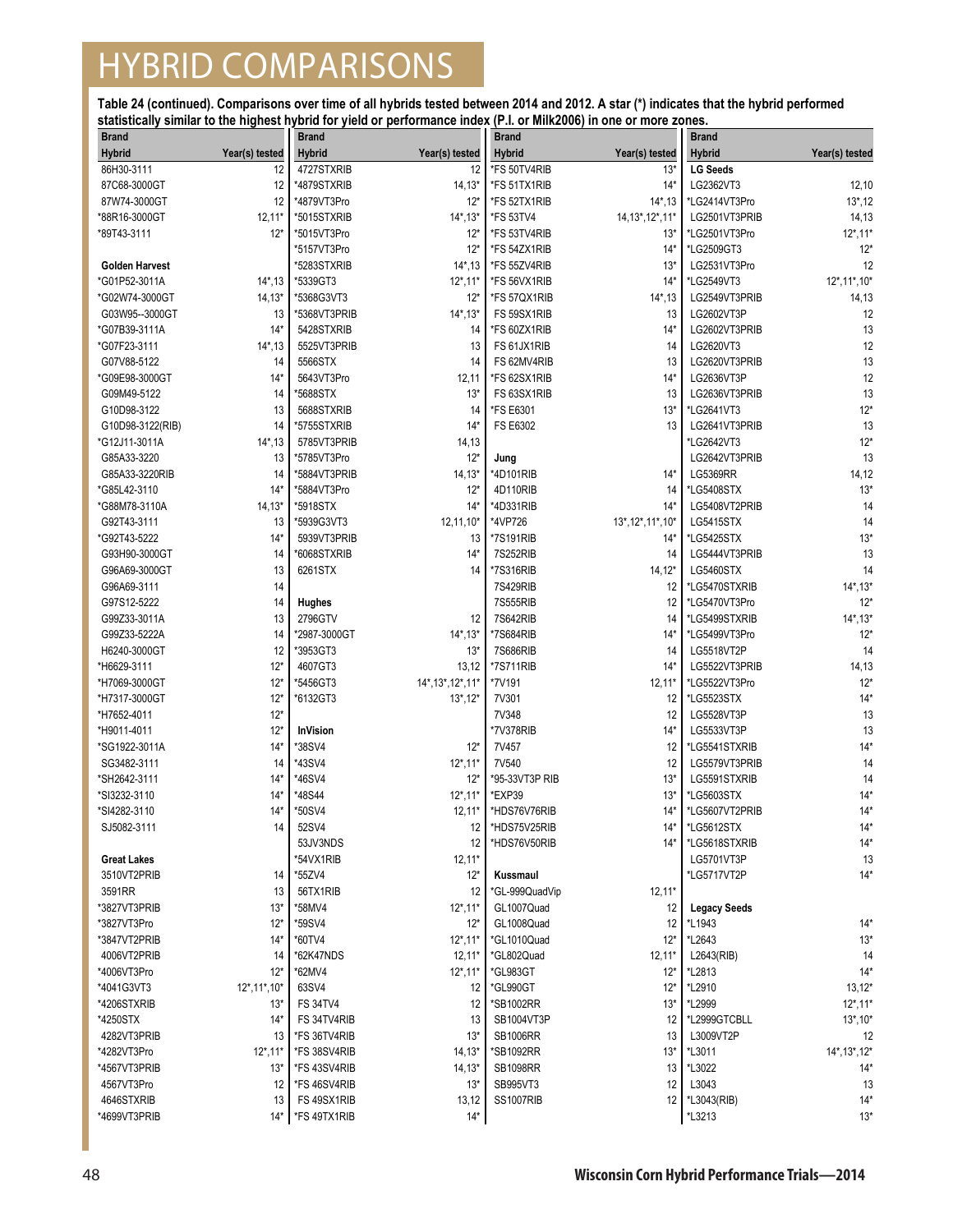| <b>Brand</b>          |                | <b>Brand</b>    |                    | <b>Brand</b>     |                    | <b>Brand</b>        |                 |
|-----------------------|----------------|-----------------|--------------------|------------------|--------------------|---------------------|-----------------|
| <b>Hybrid</b>         | Year(s) tested | <b>Hybrid</b>   | Year(s) tested     | <b>Hybrid</b>    | Year(s) tested     | <b>Hybrid</b>       | Year(s) tested  |
| 86H30-3111            | 12             | 4727STXRIB      | 12                 | *FS 50TV4RIB     | 13'                | <b>LG Seeds</b>     |                 |
| 87C68-3000GT          | 12             | *4879STXRIB     | $14,13*$           | *FS 51TX1RIB     | $14*$              | LG2362VT3           | 12,10           |
| 87W74-3000GT          | 12             | *4879VT3Pro     | $12*$              | *FS 52TX1RIB     | $14^*$ , 13        | *LG2414VT3Pro       | $13^*$ , 12     |
| *88R16-3000GT         | $12,11*$       | *5015STXRIB     | 14*,13*            | <b>*FS 53TV4</b> | 14, 13*, 12*, 11*  | LG2501VT3PRIB       | 14,13           |
| *89T43-3111           | $12*$          | *5015VT3Pro     | $12*$              | *FS 53TV4RIB     | $13*$              | *LG2501VT3Pro       | $12^*$ , 11*    |
|                       |                | *5157VT3Pro     | $12*$              | *FS 54ZX1RIB     | $14*$              | *LG2509GT3          | $12*$           |
| <b>Golden Harvest</b> |                | *5283STXRIB     | $14^*$ , 13        | *FS 55ZV4RIB     | $13*$              | LG2531VT3Pro        | 12              |
| *G01P52-3011A         | $14^*$ , 13    | *5339GT3        | $12^*$ , 11*       | *FS 56VX1RIB     | $14*$              | *LG2549VT3          | 12*, 11*, 10*   |
| *G02W74-3000GT        | $14, 13*$      | *5368G3VT3      | $12*$              | *FS 57QX1RIB     | $14^*$ , 13        | LG2549VT3PRIB       | 14,13           |
| G03W95--3000GT        | 13             | *5368VT3PRIB    | $14^*$ , 13 $*$    | FS 59SX1RIB      | 13                 | LG2602VT3P          | 12              |
| *G07B39-3111A         | $14*$          | 5428STXRIB      | 14                 | *FS 60ZX1RIB     | $14*$              | LG2602VT3PRIB       | 13              |
| *G07F23-3111          | $14^*$ , 13    | 5525VT3PRIB     | 13                 | FS 61JX1RIB      | 14                 | LG2620VT3           | 12              |
| G07V88-5122           | 14             | 5566STX         | 14                 | FS 62MV4RIB      | 13                 | LG2620VT3PRIB       | 13              |
| *G09E98-3000GT        | $14*$          | 5643VT3Pro      | 12,11              | *FS 62SX1RIB     | $14*$              | LG2636VT3P          | 12              |
| G09M49-5122           | 14             | *5688STX        | $13*$              | FS 63SX1RIB      | 13                 | LG2636VT3PRIB       | 13              |
| G10D98-3122           | 13             | 5688STXRIB      | 14                 | *FS E6301        | $13*$              | *LG2641VT3          | $12*$           |
| G10D98-3122(RIB)      | 14             | *5755STXRIB     | $14*$              | FS E6302         | 13                 | LG2641VT3PRIB       | 13              |
| *G12J11-3011A         | $14^*$ , 13    | 5785VT3PRIB     | 14,13              |                  |                    | *LG2642VT3          | $12*$           |
| G85A33-3220           | 13             | *5785VT3Pro     | $12*$              | Jung             |                    | LG2642VT3PRIB       | 13              |
| G85A33-3220RIB        | 14             | *5884VT3PRIB    | $14, 13*$          | *4D101RIB        | $14*$              | <b>LG5369RR</b>     | 14,12           |
| *G85L42-3110          | $14*$          | *5884VT3Pro     | $12*$              | 4D110RIB         | 14                 | *LG5408STX          | $13*$           |
| *G88M78-3110A         | $14, 13*$      | *5918STX        | $14*$              | *4D331RIB        | $14*$              | LG5408VT2PRIB       | 14              |
| G92T43-3111           | 13             | *5939G3VT3      | 12,11,10*          | *4VP726          | 13*, 12*, 11*, 10* | <b>LG5415STX</b>    | 14              |
| *G92T43-5222          | $14*$          | 5939VT3PRIB     | 13                 | *7S191RIB        | $14*$              | *LG5425STX          | $13*$           |
| G93H90-3000GT         | 14             | *6068STXRIB     | $14*$              | 7S252RIB         | 14                 | LG5444VT3PRIB       | 13              |
| G96A69-3000GT         | 13             | 6261STX         | 14                 | *7S316RIB        | $14,12*$           | <b>LG5460STX</b>    | 14              |
| G96A69-3111           | 14             |                 |                    | 7S429RIB         | 12                 | *LG5470STXRIB       | $14^*$ , $13^*$ |
| G97S12-5222           | 14             | Hughes          |                    | 7S555RIB         | 12                 | *LG5470VT3Pro       | $12*$           |
| G99Z33-3011A          | 13             | 2796GTV         | 12                 | 7S642RIB         | 14                 | *LG5499STXRIB       | $14^*$ , $13^*$ |
| G99Z33-5222A          | 14             | *2987-3000GT    | $14^*$ , 13 $*$    | *7S684RIB        | $14*$              | *LG5499VT3Pro       | $12*$           |
| H6240-3000GT          | 12             | *3953GT3        | $13*$              | 7S686RIB         | 14                 | LG5518VT2P          | 14              |
| *H6629-3111           | $12*$          | 4607GT3         | 13,12              | *7S711RIB        | $14*$              | LG5522VT3PRIB       | 14,13           |
| *H7069-3000GT         | $12*$          | *5456GT3        | 14*, 13*, 12*, 11* | *7V191           | $12,11*$           | *LG5522VT3Pro       | $12*$           |
| *H7317-3000GT         | $12*$          | *6132GT3        | $13^*$ , $12^*$    | 7V301            | 12                 | *LG5523STX          | $14*$           |
| *H7652-4011           | $12*$          |                 |                    | 7V348            | 12                 | LG5528VT3P          | 13              |
| *H9011-4011           | $12*$          | <b>InVision</b> |                    | *7V378RIB        | $14*$              | LG5533VT3P          | 13              |
| *SG1922-3011A         | $14*$          | *38SV4          | $12*$              | 7V457            | 12                 | *LG5541STXRIB       | $14*$           |
| SG3482-3111           | 14             | *43SV4          | $12^*$ , 11*       | 7V540            | 12                 | LG5579VT3PRIB       | 14              |
| *SH2642-3111          | 14*            | *46SV4          | $12*$              | *95-33VT3P RIB   | $13*$              | LG5591STXRIB        | 14              |
| *SI3232-3110          | $14*$          | *48S44          | $12^*$ , 11*       | *EXP39           | $13*$              | *LG5603STX          | $14*$           |
| *SI4282-3110          | $14*$          | *50SV4          | $12,11*$           | *HDS76V76RIB     | $14*$              | *LG5607VT2PRIB      | $14*$           |
| SJ5082-3111           | 14             | 52SV4           | 12                 | *HDS75V25RIB     | $14*$              | *LG5612STX          | $14*$           |
|                       |                | 53JV3NDS        | 12                 | *HDS76V50RIB     | $14*$              | *LG5618STXRIB       | $14*$           |
| <b>Great Lakes</b>    |                | *54VX1RIB       | $12,11*$           |                  |                    | LG5701VT3P          | 13              |
| 3510VT2PRIB           | 14             | *55ZV4          | $12*$              | Kussmaul         |                    | *LG5717VT2P         | $14*$           |
| 3591RR                | 13             | 56TX1RIB        | 12                 | *GL-999QuadVip   | $12,11*$           |                     |                 |
| *3827VT3PRIB          | $13*$          | *58MV4          | $12^*$ , 11*       | GL1007Quad       | 12                 | <b>Legacy Seeds</b> |                 |
| *3827VT3Pro           | $12*$          | *59SV4          | $12*$              | GL1008Quad       | 12                 | *L <sub>1943</sub>  | $14*$           |
| *3847VT2PRIB          | $14*$          | *60TV4          | $12^*$ , 11*       | *GL1010Quad      | $12*$              | *L2643              | $13*$           |
| 4006VT2PRIB           | 14             | *62K47NDS       | $12,11*$           | *GL802Quad       | $12,11*$           | L2643(RIB)          | 14              |
| *4006VT3Pro           | $12*$          | *62MV4          | $12^*$ , 11*       | *GL983GT         | $12*$              | *L2813              | $14*$           |
| *4041G3VT3            | 12*, 11*, 10*  | 63SV4           | 12                 | *GL990GT         | $12*$              | *L2910              | $13,12*$        |
| *4206STXRIB           | $13*$          | <b>FS 34TV4</b> | 12                 | *SB1002RR        | $13*$              | *L2999              | $12^*$ , 11 $*$ |
| *4250STX              | $14*$          | FS 34TV4RIB     | 13                 | SB1004VT3P       | 12                 | *L2999GTCBLL        | $13^*$ , 10 $*$ |
| 4282VT3PRIB           | 13             | *FS 36TV4RIB    | $13*$              | <b>SB1006RR</b>  | 13                 | L3009VT2P           | 12              |
| *4282VT3Pro           | $12^*$ , 11*   | *FS 38SV4RIB    | $14,13*$           | *SB1092RR        | $13*$              | *L3011              | 14*, 13*, 12*   |
| *4567VT3PRIB          | $13*$          | *FS 43SV4RIB    | $14,13*$           | <b>SB1098RR</b>  | 13                 | *L3022              | $14*$           |
| 4567VT3Pro            | 12             | *FS46SV4RIB     | $13*$              | SB995VT3         | 12                 | L3043               | 13              |
| 4646STXRIB            | 13             | FS 49SX1RIB     | 13,12              | SS1007RIB        | 12                 | *L3043(RIB)         | $14*$           |
| *4699VT3PRIB          | $14*$          | *FS 49TX1RIB    | $14*$              |                  |                    | *L3213              | $13*$           |
|                       |                |                 |                    |                  |                    |                     |                 |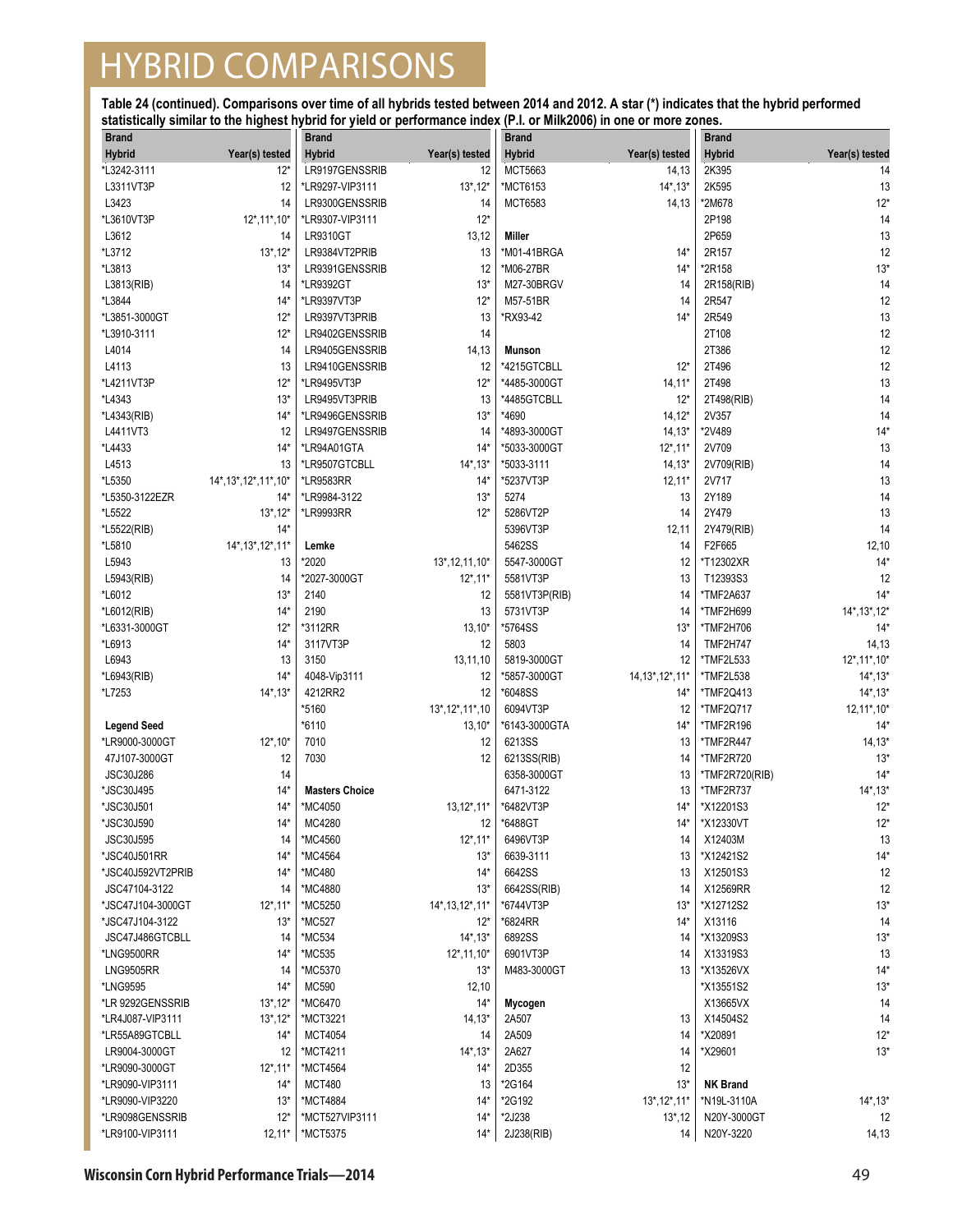| <b>Brand</b>            |                         | <b>Brand</b>          |                   | <b>Brand</b>  |                   | <b>Brand</b>    |                          |
|-------------------------|-------------------------|-----------------------|-------------------|---------------|-------------------|-----------------|--------------------------|
| Hybrid                  | Year(s) tested          | <b>Hybrid</b>         | Year(s) tested    | <b>Hybrid</b> | Year(s) tested    | <b>Hybrid</b>   | Year(s) tested           |
| *L3242-3111             | $12^*$                  | LR9197GENSSRIB        | 12                | MCT5663       | 14,13             | 2K395           | 14                       |
| L3311VT3P               | 12                      | *LR9297-VIP3111       | $13^*$ , $12^*$   | *MCT6153      | $14^*$ , $13^*$   | 2K595           | 13                       |
| L3423                   | 14                      | LR9300GENSSRIB        | 14                | MCT6583       | 14,13             | *2M678          | $12*$                    |
| *L3610VT3P              | $12^*$ , 11*, 10*       | *LR9307-VIP3111       | $12*$             |               |                   | 2P198           | 14                       |
| L3612                   | 14                      | LR9310GT              | 13,12             | Miller        |                   | 2P659           | 13                       |
| *L3712                  | $13^*$ , 12 $*$         | LR9384VT2PRIB         | 13                | *M01-41BRGA   | $14*$             | 2R157           | 12                       |
| *L3813                  | $13*$                   | LR9391GENSSRIB        | 12                | *M06-27BR     | $14*$             | *2R158          | $13*$                    |
| L3813(RIB)              | 14                      | *LR9392GT             | $13*$             | M27-30BRGV    | 14                | 2R158(RIB)      | 14                       |
| *L3844                  | $14*$                   | *LR9397VT3P           | $12*$             | M57-51BR      | 14                | 2R547           | 12                       |
| *L3851-3000GT           | $12*$                   | LR9397VT3PRIB         | 13                | *RX93-42      | $14*$             | 2R549           | 13                       |
| *L3910-3111             | $12*$                   | LR9402GENSSRIB        | 14                |               |                   | 2T108           | 12                       |
| L4014                   | 14                      | LR9405GENSSRIB        | 14,13             | <b>Munson</b> |                   | 2T386           | 12                       |
| L4113                   | 13                      | LR9410GENSSRIB        | 12                | *4215GTCBLL   | $12*$             | 2T496           | 12                       |
| *L4211VT3P              | $12*$                   | *LR9495VT3P           | $12*$             | *4485-3000GT  | $14,11*$          | 2T498           | 13                       |
| *L4343                  | $13*$                   | LR9495VT3PRIB         | 13                | *4485GTCBLL   | $12*$             | 2T498(RIB)      | 14                       |
|                         |                         |                       |                   | *4690         |                   |                 |                          |
| *L4343(RIB)<br>L4411VT3 | $14*$                   | *LR9496GENSSRIB       | $13*$             | *4893-3000GT  | $14, 12*$         | 2V357<br>*2V489 | 14<br>$14*$              |
|                         | 12<br>$14*$             | LR9497GENSSRIB        | 14<br>$14*$       |               | $14,13*$          |                 |                          |
| *L4433                  |                         | *LR94A01GTA           |                   | *5033-3000GT  | $12^*$ , 11*      | 2V709           | 13                       |
| L4513                   | 13                      | *LR9507GTCBLL         | $14^*$ , 13 $*$   | *5033-3111    | $14, 13*$         | 2V709(RIB)      | 14                       |
| *L5350                  | 14*, 13*, 12*, 11*, 10* | *LR9583RR             | $14*$             | *5237VT3P     | $12,11*$          | 2V717           | 13                       |
| *L5350-3122EZR          | $14*$                   | *LR9984-3122          | $13*$             | 5274          | 13                | 2Y189           | 14                       |
| *L5522                  | $13^*$ , 12 $*$         | *LR9993RR             | $12*$             | 5286VT2P      | 14                | 2Y479           | 13                       |
| *L5522(RIB)             | $14*$                   |                       |                   | 5396VT3P      | 12,11             | 2Y479(RIB)      | 14                       |
| *L5810                  | 14*, 13*, 12*, 11*      | Lemke                 |                   | 5462SS        | 14                | F2F665          | 12,10                    |
| L5943                   | 13                      | *2020                 | 13*, 12, 11, 10*  | 5547-3000GT   | 12                | *T12302XR       | $14*$                    |
| L5943(RIB)              | 14                      | *2027-3000GT          | $12^*$ , 11*      | 5581VT3P      | 13                | T12393S3        | 12                       |
| *L6012                  | $13*$                   | 2140                  | 12                | 5581VT3P(RIB) | 14                | *TMF2A637       | $14*$                    |
| *L6012(RIB)             | $14*$                   | 2190                  | 13                | 5731VT3P      | 14                | *TMF2H699       | 14*, 13*, 12*            |
| *L6331-3000GT           | $12*$                   | *3112RR               | $13,10*$          | *5764SS       | $13*$             | *TMF2H706       | $14*$                    |
| *L6913                  | $14*$                   | 3117VT3P              | 12                | 5803          | 14                | <b>TMF2H747</b> | 14,13                    |
| L6943                   | 13                      | 3150                  | 13,11,10          | 5819-3000GT   | 12                | *TMF2L533       | $12^*$ , 11 $*$ , 10 $*$ |
| *L6943(RIB)             | $14*$                   | 4048-Vip3111          | 12                | *5857-3000GT  | 14, 13*, 12*, 11* | *TMF2L538       | $14^*$ , $13^*$          |
| *L7253                  | $14^*$ , $13^*$         | 4212RR2               | 12                | *6048SS       | $14*$             | *TMF2Q413       | $14^*$ , $13^*$          |
|                         |                         | *5160                 | 13*, 12*, 11*, 10 | 6094VT3P      | 12                | *TMF2Q717       | $12,11^*$ , 10*          |
| <b>Legend Seed</b>      |                         | *6110                 | $13,10*$          | *6143-3000GTA | $14*$             | *TMF2R196       | $14*$                    |
| *LR9000-3000GT          | $12^*$ , 10*            | 7010                  | 12                | 6213SS        | 13                | *TMF2R447       | $14, 13*$                |
| 47J107-3000GT           | 12                      | 7030                  | 12                | 6213SS(RIB)   | 14                | *TMF2R720       | $13*$                    |
| JSC30J286               | 14                      |                       |                   | 6358-3000GT   | 13                | *TMF2R720(RIB)  | $14*$                    |
| *JSC30J495              | $14*$                   | <b>Masters Choice</b> |                   | 6471-3122     | 13                | *TMF2R737       | $14^*$ , $13^*$          |
| *JSC30J501              | $14*$                   | *MC4050               | $13,12^*,11^*$    | *6482VT3P     | $14*$             | *X12201S3       | $12*$                    |
| *JSC30J590              | $14*$                   | MC4280                | 12 <sup>12</sup>  | *6488GT       | $14*$             | *X12330VT       | $12*$                    |
| <b>JSC30J595</b>        | 14                      | *MC4560               | $12^*$ , 11*      | 6496VT3P      | 14                | X12403M         | 13                       |
| *JSC40J501RR            | $14*$                   | *MC4564               | $13*$             | 6639-3111     | 13                | *X12421S2       | $14*$                    |
| *JSC40J592VT2PRIB       | $14*$                   | *MC480                | $14*$             | 6642SS        | 13                | X12501S3        | 12                       |
| JSC47104-3122           | 14                      | *MC4880               | $13*$             | 6642SS(RIB)   | 14                | X12569RR        | 12                       |
| *JSC47J104-3000GT       | $12^*$ , 11 $*$         | *MC5250               | 14*, 13, 12*, 11* | *6744VT3P     | $13*$             | *X12712S2       | $13*$                    |
| *JSC47J104-3122         | $13*$                   | *MC527                | $12*$             | *6824RR       | $14*$             | X13116          | 14                       |
| JSC47J486GTCBLL         | 14                      | *MC534                | $14^*$ , 13 $*$   | 6892SS        | 14                | *X13209S3       | $13*$                    |
| *LNG9500RR              | $14*$                   | *MC535                | $12^*$ , 11, 10*  | 6901VT3P      | 14                | X13319S3        | 13                       |
| <b>LNG9505RR</b>        | 14                      | *MC5370               | $13*$             | M483-3000GT   | 13                | *X13526VX       | $14*$                    |
| *LNG9595                | $14*$                   | MC590                 | 12,10             |               |                   | *X13551S2       | $13*$                    |
| *LR 9292GENSSRIB        | $13^*$ , $12^*$         | *MC6470               | $14*$             | Mycogen       |                   | X13665VX        | 14                       |
| *LR4J087-VIP3111        | $13^*$ , $12^*$         | *MCT3221              | $14,13*$          | 2A507         | 13                | X14504S2        | 14                       |
| *LR55A89GTCBLL          | $14*$                   | MCT4054               | 14                | 2A509         | 14                | *X20891         | $12*$                    |
| LR9004-3000GT           | 12                      | *MCT4211              | $14^*$ , 13 $*$   | 2A627         | 14                | *X29601         | $13*$                    |
| *LR9090-3000GT          | $12^*$ , 11 $*$         | *MCT4564              | $14*$             | 2D355         | 12                |                 |                          |
| *LR9090-VIP3111         | 14*                     | <b>MCT480</b>         | 13                | *2G164        | $13*$             | <b>NK Brand</b> |                          |
| *LR9090-VIP3220         | $13*$                   | *MCT4884              | $14*$             | *2G192        | 13*, 12*, 11*     | *N19L-3110A     | $14^*$ , 13 $*$          |
| *LR9098GENSSRIB         | $12*$                   | *MCT527VIP3111        | $14*$             | *2J238        | $13^*$ , 12       | N20Y-3000GT     | 12                       |
| *LR9100-VIP3111         | $12,11*$                | *MCT5375              | $14*$             | 2J238(RIB)    | 14                | N20Y-3220       | 14,13                    |
|                         |                         |                       |                   |               |                   |                 |                          |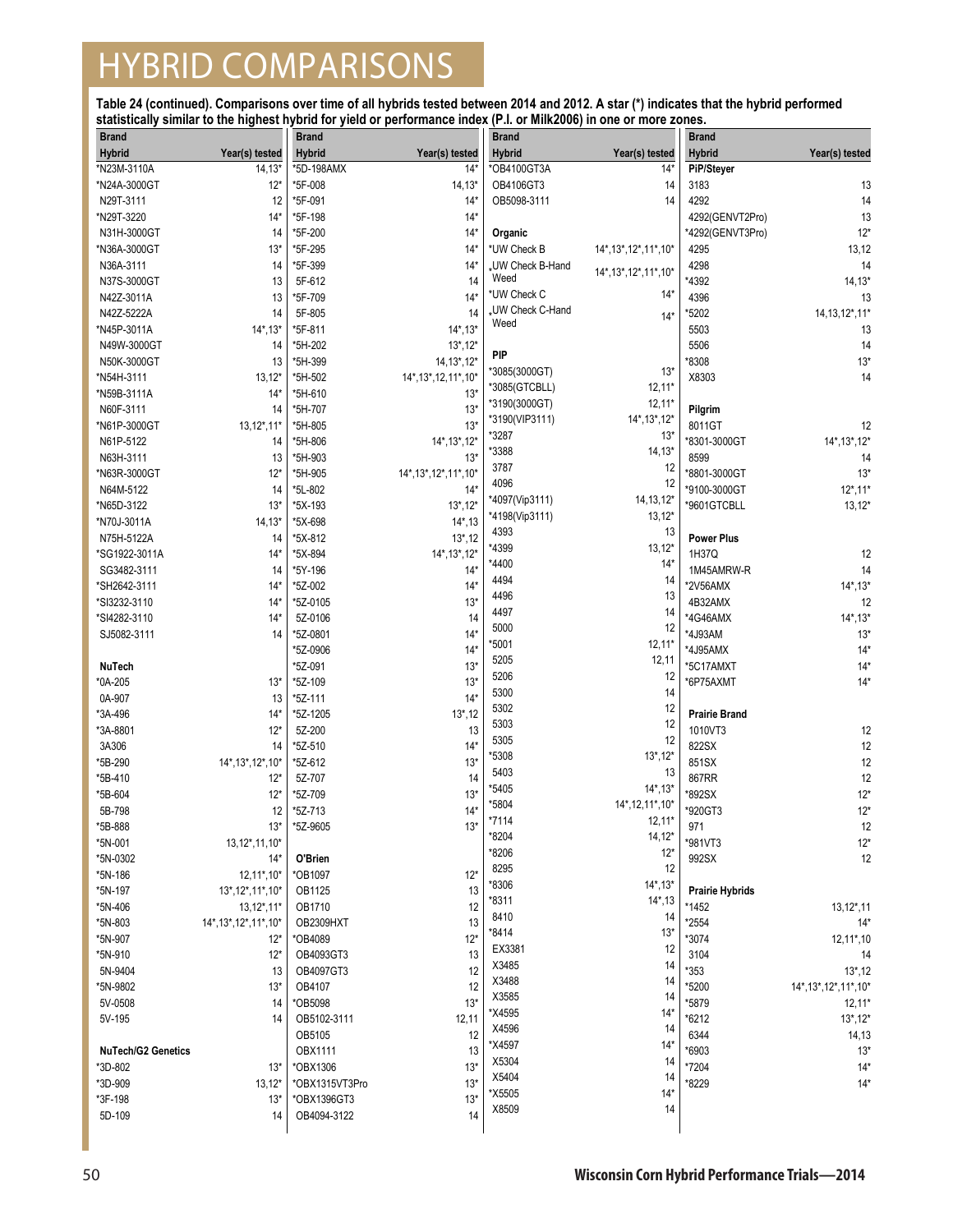| <b>Brand</b>              |                         | <b>Brand</b>   |                         | <b>Brand</b>           |                                | <b>Brand</b>           |                         |
|---------------------------|-------------------------|----------------|-------------------------|------------------------|--------------------------------|------------------------|-------------------------|
| <b>Hybrid</b>             | Year(s) tested          | <b>Hybrid</b>  | Year(s) tested          | <b>Hybrid</b>          | Year(s) tested                 | <b>Hybrid</b>          | Year(s) tested          |
| *N23M-3110A               | $14, 13*$               | *5D-198AMX     | $14*$                   | *OB4100GT3A            | $14*$                          | PiP/Steyer             |                         |
| *N24A-3000GT              | $12*$                   | *5F-008        | $14, 13*$               | OB4106GT3              | 14                             | 3183                   | 13                      |
| N29T-3111                 | 12                      | *5F-091        | $14*$                   | OB5098-3111            | 14                             | 4292                   | 14                      |
| *N29T-3220                | $14*$                   | *5F-198        | $14*$                   |                        |                                | 4292(GENVT2Pro)        | 13                      |
| N31H-3000GT               | 14                      | *5F-200        | $14*$                   | Organic                |                                | *4292(GENVT3Pro)       | $12*$                   |
| *N36A-3000GT              | $13*$                   | *5F-295        | $14*$                   | *UW Check B            | 14*, 13*, 12*, 11*, 10*        | 4295                   | 13,12                   |
| N36A-3111                 | 14                      | *5F-399        | $14*$                   | <b>UW Check B-Hand</b> |                                | 4298                   | 14                      |
| N37S-3000GT               | 13                      | 5F-612         | 14                      | Weed                   | 14*, 13*, 12*, 11*, 10*        | *4392                  | $14, 13*$               |
| N42Z-3011A                | 13                      | *5F-709        | $14*$                   | *UW Check C            | $14*$                          | 4396                   | 13                      |
| N42Z-5222A                | 14                      | 5F-805         | 14                      | <b>UW Check C-Hand</b> | $14*$                          | *5202                  | 14, 13, 12*, 11*        |
| *N45P-3011A               | $14^*$ , 13 $*$         | *5F-811        | $14^*$ , 13 $*$         | Weed                   |                                | 5503                   | 13                      |
| N49W-3000GT               | 14                      | *5H-202        | $13^*$ , 12*            |                        |                                | 5506                   | 14                      |
| N50K-3000GT               | 13                      | *5H-399        | 14, 13*, 12*            | PIP                    |                                | *8308                  | $13*$                   |
| *N54H-3111                | $13,12*$                | *5H-502        | 14*, 13*, 12, 11*, 10*  | *3085(3000GT)          | $13*$                          | X8303                  | 14                      |
| *N59B-3111A               | $14*$                   | *5H-610        | $13*$                   | *3085(GTCBLL)          | $12,11*$                       |                        |                         |
| N60F-3111                 | 14                      | *5H-707        | $13*$                   | *3190(3000GT)          | $12,11*$                       | Pilgrim                |                         |
| *N61P-3000GT              | $13,12^*,11^*$          | *5H-805        | $13*$                   | *3190(VIP3111)         | $14^*$ , $13^*$ , $12^*$       | 8011GT                 | 12                      |
| N61P-5122                 | 14                      | *5H-806        | 14*, 13*, 12*           | *3287                  | $13*$                          | *8301-3000GT           | 14*, 13*, 12*           |
| N63H-3111                 | 13                      | *5H-903        | $13*$                   | *3388                  | $14,13*$                       | 8599                   | 14                      |
| *N63R-3000GT              | $12*$                   | *5H-905        | 14*, 13*, 12*, 11*, 10* | 3787                   | 12                             | *8801-3000GT           | $13*$                   |
| N64M-5122                 | 14                      | *5L-802        | $14*$                   | 4096                   | 12                             | *9100-3000GT           | $12^*$ , 11*            |
| *N65D-3122                | $13*$                   | *5X-193        | $13^*$ , $12^*$         | *4097(Vip3111)         | $14, 13, 12*$                  | *9601GTCBLL            | $13,12*$                |
| *N70J-3011A               | $14,13*$                | *5X-698        | $14^*$ , 13             | *4198(Vip3111)         | $13,12*$                       |                        |                         |
| N75H-5122A                | 14                      | *5X-812        | $13^*$ , 12             | 4393                   | 13                             | <b>Power Plus</b>      |                         |
| *SG1922-3011A             | $14*$                   | *5X-894        | 14*, 13*, 12*           | *4399                  | $13,12*$                       | 1H37Q                  | 12                      |
| SG3482-3111               | 14                      | *5Y-196        | $14*$                   | *4400                  | $14*$                          | 1M45AMRW-R             | 14                      |
| *SH2642-3111              | $14*$                   | *5Z-002        | $14*$                   | 4494                   | 14                             | *2V56AMX               | $14^*$ , $13^*$         |
| *SI3232-3110              | $14*$                   | *5Z-0105       | $13*$                   | 4496                   | 13                             | 4B32AMX                | 12                      |
| *SI4282-3110              | $14*$                   | 5Z-0106        | 14                      | 4497                   | 14                             | *4G46AMX               | $14^*$ , $13^*$         |
| SJ5082-3111               | 14                      | *5Z-0801       | $14*$                   | 5000                   | 12                             | *4J93AM                | $13*$                   |
|                           |                         | *5Z-0906       | $14*$                   | *5001                  | $12,11*$                       | *4J95AMX               | $14*$                   |
| NuTech                    |                         | *5Z-091        | $13*$                   | 5205                   | 12,11                          | *5C17AMXT              | $14*$                   |
| *0A-205                   | $13*$                   | *5Z-109        | $13*$                   | 5206                   | 12                             | *6P75AXMT              | $14*$                   |
| 0A-907                    | 13                      | *5Z-111        | $14*$                   | 5300                   | 14                             |                        |                         |
| *3A-496                   | $14*$                   | *5Z-1205       | $13^*$ , 12             | 5302                   | 12                             | <b>Prairie Brand</b>   |                         |
| *3A-8801                  | $12*$                   | 5Z-200         | 13                      | 5303                   | 12                             | 1010VT3                | 12                      |
| 3A306                     | 14                      | *5Z-510        | $14*$                   | 5305                   | 12                             | 822SX                  | 12                      |
| *5B-290                   | 14*, 13*, 12*, 10*      | *5Z-612        | $13*$                   | *5308                  | $13^*$ , $12^*$                | 851SX                  | 12                      |
| *5B-410                   |                         | 5Z-707         | 14                      | 5403                   | 13                             | 867RR                  | 12                      |
| *5B-604                   | $12*$<br>$12*$          | *5Z-709        | $13*$                   | *5405                  | $14^*$ , $13^*$                | *892SX                 | $12*$                   |
| 5B-798                    |                         | *5Z-713        | $14*$                   | *5804                  | $14^*$ , 12, 11 $^*$ , 10 $^*$ | *920GT3                | $12*$                   |
| *5B-888                   | 12<br>$13*$             | *5Z-9605       | $13*$                   | *7114                  | $12,11*$                       | 971                    | 12                      |
|                           |                         |                |                         | *8204                  | $14,12*$                       |                        | $12*$                   |
| *5N-001<br>*5N-0302       | 13,12*,11,10*           |                |                         | *8206                  | $12*$                          | *981VT3                | 12                      |
|                           | $14*$                   | O'Brien        | $12*$                   | 8295                   | 12                             | 992SX                  |                         |
| *5N-186                   | $12,11^*$ , 10*         | *OB1097        |                         | *8306                  | $14^*$ , $13^*$                |                        |                         |
| *5N-197                   | 13*, 12*, 11*, 10*      | OB1125         | 13                      | *8311                  | $14^*$ , 13                    | <b>Prairie Hybrids</b> |                         |
| *5N-406                   | $13,12^*,11^*$          | OB1710         | 12                      | 8410                   | 14                             | *1452                  | $13, 12^*, 11$          |
| *5N-803                   | 14*, 13*, 12*, 11*, 10* | OB2309HXT      | 13                      | *8414                  | $13*$                          | *2554                  | $14*$                   |
| *5N-907                   | $12*$                   | *OB4089        | $12*$                   | EX3381                 | 12                             | *3074                  | 12,11*,10               |
| *5N-910                   | $12*$                   | OB4093GT3      | 13                      | X3485                  | 14                             | 3104                   | 14                      |
| 5N-9404                   | 13                      | OB4097GT3      | 12                      | X3488                  | 14                             | *353                   | 13,12                   |
| *5N-9802                  | $13*$                   | OB4107         | 12                      | X3585                  | 14                             | *5200                  | 14*, 13*, 12*, 11*, 10* |
| 5V-0508                   | 14                      | *OB5098        | $13*$                   | *X4595                 | $14*$                          | *5879                  | $12,11*$                |
| 5V-195                    | 14                      | OB5102-3111    | 12,11                   | X4596                  | 14                             | *6212                  | $13^*$ , $12^*$         |
|                           |                         | OB5105         | 12                      | *X4597                 | $14*$                          | 6344                   | 14,13                   |
| <b>NuTech/G2 Genetics</b> |                         | OBX1111        | 13                      | X5304                  | 14                             | *6903                  | $13*$                   |
| *3D-802                   | $13*$                   | *OBX1306       | $13*$                   | X5404                  | 14                             | *7204                  | $14*$                   |
| *3D-909                   | $13,12*$                | *OBX1315VT3Pro | $13*$                   | *X5505                 | $14*$                          | *8229                  | $14*$                   |
| *3F-198                   | $13*$                   | *OBX1396GT3    | $13*$                   | X8509                  | 14                             |                        |                         |
| 5D-109                    | 14                      | OB4094-3122    | 14                      |                        |                                |                        |                         |
|                           |                         |                |                         |                        |                                |                        |                         |